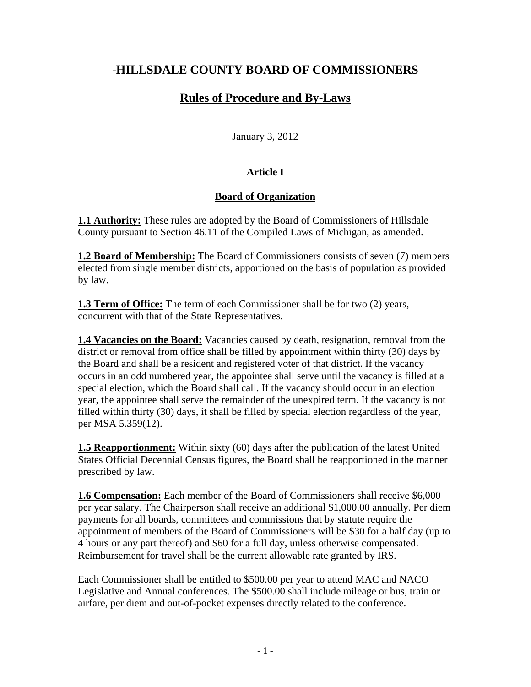# **-HILLSDALE COUNTY BOARD OF COMMISSIONERS**

# **Rules of Procedure and By-Laws**

January 3, 2012

# **Article I**

# **Board of Organization**

**1.1 Authority:** These rules are adopted by the Board of Commissioners of Hillsdale County pursuant to Section 46.11 of the Compiled Laws of Michigan, as amended.

**1.2 Board of Membership:** The Board of Commissioners consists of seven (7) members elected from single member districts, apportioned on the basis of population as provided by law.

**1.3 Term of Office:** The term of each Commissioner shall be for two (2) years, concurrent with that of the State Representatives.

**1.4 Vacancies on the Board:** Vacancies caused by death, resignation, removal from the district or removal from office shall be filled by appointment within thirty (30) days by the Board and shall be a resident and registered voter of that district. If the vacancy occurs in an odd numbered year, the appointee shall serve until the vacancy is filled at a special election, which the Board shall call. If the vacancy should occur in an election year, the appointee shall serve the remainder of the unexpired term. If the vacancy is not filled within thirty (30) days, it shall be filled by special election regardless of the year, per MSA 5.359(12).

**1.5 Reapportionment:** Within sixty (60) days after the publication of the latest United States Official Decennial Census figures, the Board shall be reapportioned in the manner prescribed by law.

**1.6 Compensation:** Each member of the Board of Commissioners shall receive \$6,000 per year salary. The Chairperson shall receive an additional \$1,000.00 annually. Per diem payments for all boards, committees and commissions that by statute require the appointment of members of the Board of Commissioners will be \$30 for a half day (up to 4 hours or any part thereof) and \$60 for a full day, unless otherwise compensated. Reimbursement for travel shall be the current allowable rate granted by IRS.

Each Commissioner shall be entitled to \$500.00 per year to attend MAC and NACO Legislative and Annual conferences. The \$500.00 shall include mileage or bus, train or airfare, per diem and out-of-pocket expenses directly related to the conference.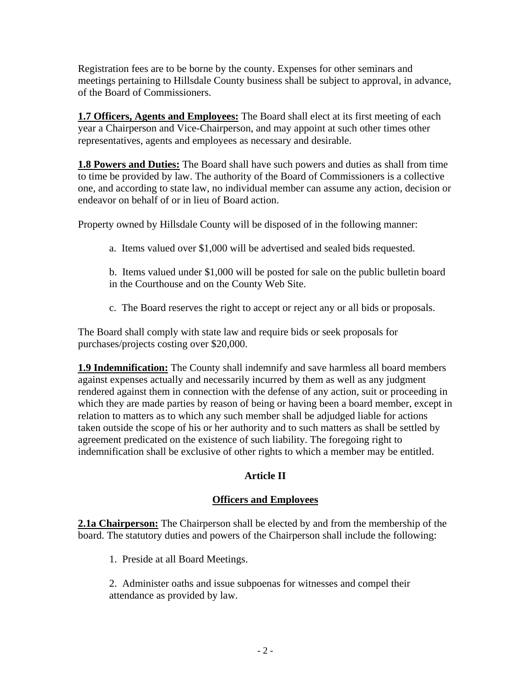Registration fees are to be borne by the county. Expenses for other seminars and meetings pertaining to Hillsdale County business shall be subject to approval, in advance, of the Board of Commissioners.

**1.7 Officers, Agents and Employees:** The Board shall elect at its first meeting of each year a Chairperson and Vice-Chairperson, and may appoint at such other times other representatives, agents and employees as necessary and desirable.

**1.8 Powers and Duties:** The Board shall have such powers and duties as shall from time to time be provided by law. The authority of the Board of Commissioners is a collective one, and according to state law, no individual member can assume any action, decision or endeavor on behalf of or in lieu of Board action.

Property owned by Hillsdale County will be disposed of in the following manner:

- a. Items valued over \$1,000 will be advertised and sealed bids requested.
- b. Items valued under \$1,000 will be posted for sale on the public bulletin board in the Courthouse and on the County Web Site.
- c. The Board reserves the right to accept or reject any or all bids or proposals.

The Board shall comply with state law and require bids or seek proposals for purchases/projects costing over \$20,000.

**1.9 Indemnification:** The County shall indemnify and save harmless all board members against expenses actually and necessarily incurred by them as well as any judgment rendered against them in connection with the defense of any action, suit or proceeding in which they are made parties by reason of being or having been a board member, except in relation to matters as to which any such member shall be adjudged liable for actions taken outside the scope of his or her authority and to such matters as shall be settled by agreement predicated on the existence of such liability. The foregoing right to indemnification shall be exclusive of other rights to which a member may be entitled.

# **Article II**

# **Officers and Employees**

**2.1a Chairperson:** The Chairperson shall be elected by and from the membership of the board. The statutory duties and powers of the Chairperson shall include the following:

1. Preside at all Board Meetings.

2. Administer oaths and issue subpoenas for witnesses and compel their attendance as provided by law.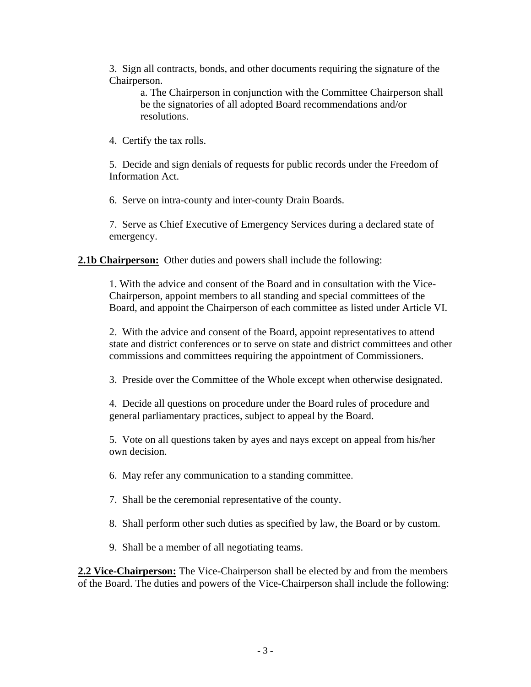3. Sign all contracts, bonds, and other documents requiring the signature of the Chairperson.

a. The Chairperson in conjunction with the Committee Chairperson shall be the signatories of all adopted Board recommendations and/or resolutions.

4. Certify the tax rolls.

5. Decide and sign denials of requests for public records under the Freedom of Information Act.

6. Serve on intra-county and inter-county Drain Boards.

7. Serve as Chief Executive of Emergency Services during a declared state of emergency.

**2.1b Chairperson:** Other duties and powers shall include the following:

1. With the advice and consent of the Board and in consultation with the Vice-Chairperson, appoint members to all standing and special committees of the Board, and appoint the Chairperson of each committee as listed under Article VI.

2. With the advice and consent of the Board, appoint representatives to attend state and district conferences or to serve on state and district committees and other commissions and committees requiring the appointment of Commissioners.

3. Preside over the Committee of the Whole except when otherwise designated.

4. Decide all questions on procedure under the Board rules of procedure and general parliamentary practices, subject to appeal by the Board.

5. Vote on all questions taken by ayes and nays except on appeal from his/her own decision.

6. May refer any communication to a standing committee.

7. Shall be the ceremonial representative of the county.

8. Shall perform other such duties as specified by law, the Board or by custom.

9. Shall be a member of all negotiating teams.

**2.2 Vice-Chairperson:** The Vice-Chairperson shall be elected by and from the members of the Board. The duties and powers of the Vice-Chairperson shall include the following: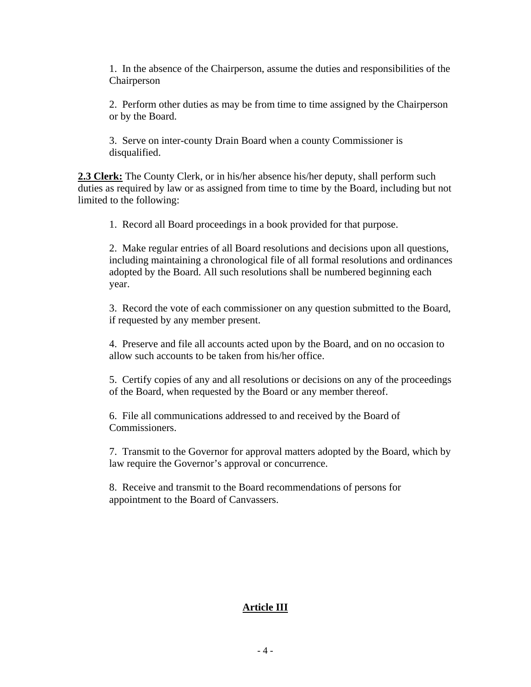1. In the absence of the Chairperson, assume the duties and responsibilities of the Chairperson

2. Perform other duties as may be from time to time assigned by the Chairperson or by the Board.

3. Serve on inter-county Drain Board when a county Commissioner is disqualified.

**2.3 Clerk:** The County Clerk, or in his/her absence his/her deputy, shall perform such duties as required by law or as assigned from time to time by the Board, including but not limited to the following:

1. Record all Board proceedings in a book provided for that purpose.

2. Make regular entries of all Board resolutions and decisions upon all questions, including maintaining a chronological file of all formal resolutions and ordinances adopted by the Board. All such resolutions shall be numbered beginning each year.

3. Record the vote of each commissioner on any question submitted to the Board, if requested by any member present.

4. Preserve and file all accounts acted upon by the Board, and on no occasion to allow such accounts to be taken from his/her office.

5. Certify copies of any and all resolutions or decisions on any of the proceedings of the Board, when requested by the Board or any member thereof.

6. File all communications addressed to and received by the Board of Commissioners.

7. Transmit to the Governor for approval matters adopted by the Board, which by law require the Governor's approval or concurrence.

8. Receive and transmit to the Board recommendations of persons for appointment to the Board of Canvassers.

# **Article III**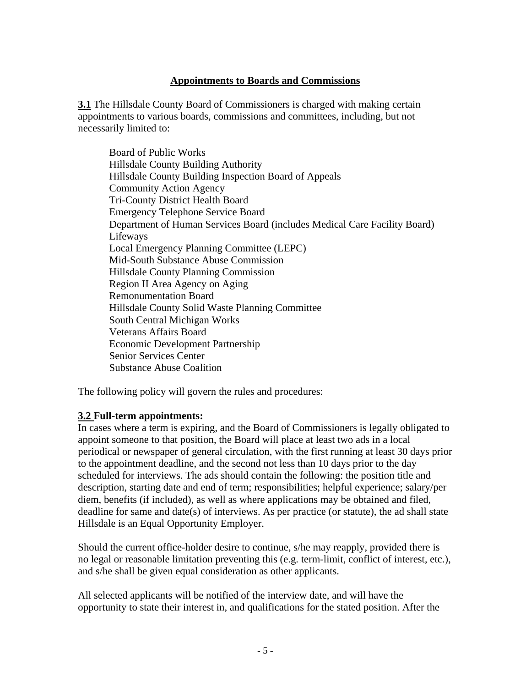#### **Appointments to Boards and Commissions**

**3.1** The Hillsdale County Board of Commissioners is charged with making certain appointments to various boards, commissions and committees, including, but not necessarily limited to:

 Board of Public Works Hillsdale County Building Authority Hillsdale County Building Inspection Board of Appeals Community Action Agency Tri-County District Health Board Emergency Telephone Service Board Department of Human Services Board (includes Medical Care Facility Board) Lifeways Local Emergency Planning Committee (LEPC) Mid-South Substance Abuse Commission Hillsdale County Planning Commission Region II Area Agency on Aging Remonumentation Board Hillsdale County Solid Waste Planning Committee South Central Michigan Works Veterans Affairs Board Economic Development Partnership Senior Services Center Substance Abuse Coalition

The following policy will govern the rules and procedures:

#### **3.2 Full-term appointments:**

In cases where a term is expiring, and the Board of Commissioners is legally obligated to appoint someone to that position, the Board will place at least two ads in a local periodical or newspaper of general circulation, with the first running at least 30 days prior to the appointment deadline, and the second not less than 10 days prior to the day scheduled for interviews. The ads should contain the following: the position title and description, starting date and end of term; responsibilities; helpful experience; salary/per diem, benefits (if included), as well as where applications may be obtained and filed, deadline for same and date(s) of interviews. As per practice (or statute), the ad shall state Hillsdale is an Equal Opportunity Employer.

Should the current office-holder desire to continue, s/he may reapply, provided there is no legal or reasonable limitation preventing this (e.g. term-limit, conflict of interest, etc.), and s/he shall be given equal consideration as other applicants.

All selected applicants will be notified of the interview date, and will have the opportunity to state their interest in, and qualifications for the stated position. After the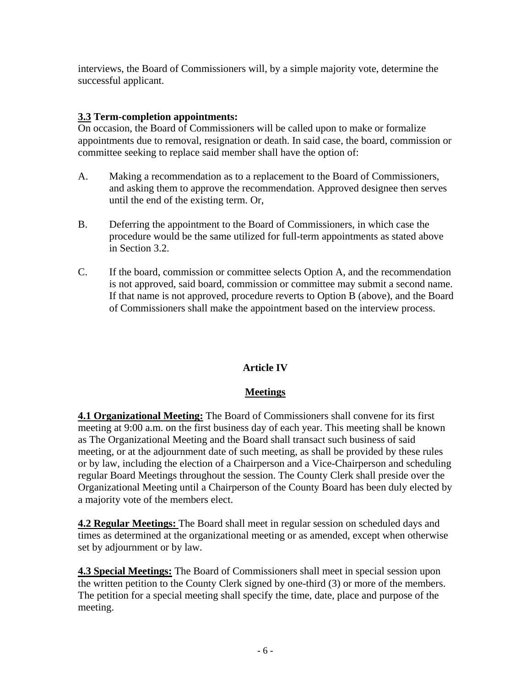interviews, the Board of Commissioners will, by a simple majority vote, determine the successful applicant.

### **3.3 Term-completion appointments:**

On occasion, the Board of Commissioners will be called upon to make or formalize appointments due to removal, resignation or death. In said case, the board, commission or committee seeking to replace said member shall have the option of:

- A. Making a recommendation as to a replacement to the Board of Commissioners, and asking them to approve the recommendation. Approved designee then serves until the end of the existing term. Or,
- B. Deferring the appointment to the Board of Commissioners, in which case the procedure would be the same utilized for full-term appointments as stated above in Section 3.2.
- C. If the board, commission or committee selects Option A, and the recommendation is not approved, said board, commission or committee may submit a second name. If that name is not approved, procedure reverts to Option B (above), and the Board of Commissioners shall make the appointment based on the interview process.

# **Article IV**

### **Meetings**

**4.1 Organizational Meeting:** The Board of Commissioners shall convene for its first meeting at 9:00 a.m. on the first business day of each year. This meeting shall be known as The Organizational Meeting and the Board shall transact such business of said meeting, or at the adjournment date of such meeting, as shall be provided by these rules or by law, including the election of a Chairperson and a Vice-Chairperson and scheduling regular Board Meetings throughout the session. The County Clerk shall preside over the Organizational Meeting until a Chairperson of the County Board has been duly elected by a majority vote of the members elect.

**4.2 Regular Meetings:** The Board shall meet in regular session on scheduled days and times as determined at the organizational meeting or as amended, except when otherwise set by adjournment or by law.

**4.3 Special Meetings:** The Board of Commissioners shall meet in special session upon the written petition to the County Clerk signed by one-third (3) or more of the members. The petition for a special meeting shall specify the time, date, place and purpose of the meeting.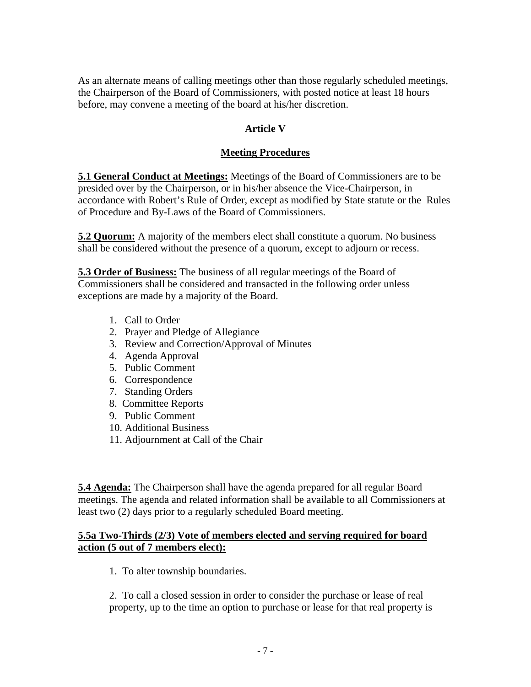As an alternate means of calling meetings other than those regularly scheduled meetings, the Chairperson of the Board of Commissioners, with posted notice at least 18 hours before, may convene a meeting of the board at his/her discretion.

### **Article V**

### **Meeting Procedures**

**5.1 General Conduct at Meetings:** Meetings of the Board of Commissioners are to be presided over by the Chairperson, or in his/her absence the Vice-Chairperson, in accordance with Robert's Rule of Order, except as modified by State statute or the Rules of Procedure and By-Laws of the Board of Commissioners.

**5.2 Quorum:** A majority of the members elect shall constitute a quorum. No business shall be considered without the presence of a quorum, except to adjourn or recess.

**5.3 Order of Business:** The business of all regular meetings of the Board of Commissioners shall be considered and transacted in the following order unless exceptions are made by a majority of the Board.

- 1. Call to Order
- 2. Prayer and Pledge of Allegiance
- 3. Review and Correction/Approval of Minutes
- 4. Agenda Approval
- 5. Public Comment
- 6. Correspondence
- 7. Standing Orders
- 8. Committee Reports
- 9. Public Comment
- 10. Additional Business
- 11. Adjournment at Call of the Chair

**5.4 Agenda:** The Chairperson shall have the agenda prepared for all regular Board meetings. The agenda and related information shall be available to all Commissioners at least two (2) days prior to a regularly scheduled Board meeting.

#### **5.5a Two-Thirds (2/3) Vote of members elected and serving required for board action (5 out of 7 members elect):**

1. To alter township boundaries.

2. To call a closed session in order to consider the purchase or lease of real property, up to the time an option to purchase or lease for that real property is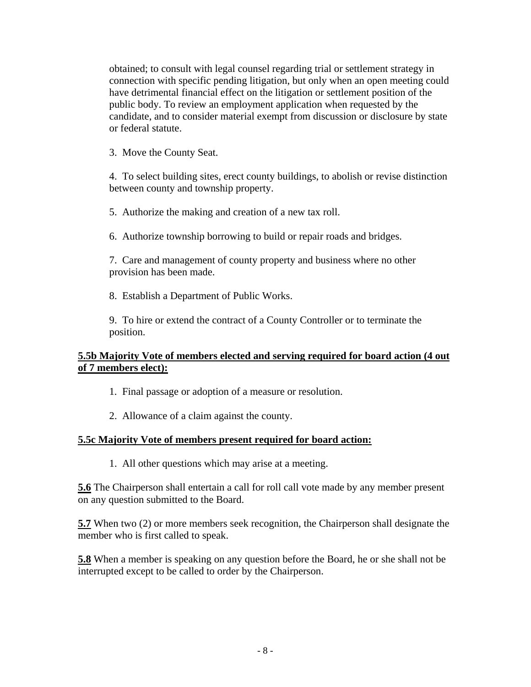obtained; to consult with legal counsel regarding trial or settlement strategy in connection with specific pending litigation, but only when an open meeting could have detrimental financial effect on the litigation or settlement position of the public body. To review an employment application when requested by the candidate, and to consider material exempt from discussion or disclosure by state or federal statute.

3. Move the County Seat.

4. To select building sites, erect county buildings, to abolish or revise distinction between county and township property.

5. Authorize the making and creation of a new tax roll.

6. Authorize township borrowing to build or repair roads and bridges.

7. Care and management of county property and business where no other provision has been made.

8. Establish a Department of Public Works.

9. To hire or extend the contract of a County Controller or to terminate the position.

### **5.5b Majority Vote of members elected and serving required for board action (4 out of 7 members elect):**

1. Final passage or adoption of a measure or resolution.

2. Allowance of a claim against the county.

### **5.5c Majority Vote of members present required for board action:**

1. All other questions which may arise at a meeting.

**5.6** The Chairperson shall entertain a call for roll call vote made by any member present on any question submitted to the Board.

**5.7** When two (2) or more members seek recognition, the Chairperson shall designate the member who is first called to speak.

**5.8** When a member is speaking on any question before the Board, he or she shall not be interrupted except to be called to order by the Chairperson.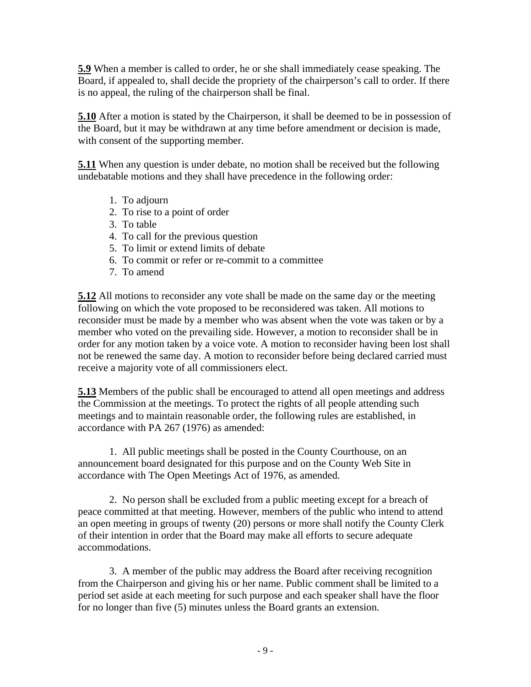**5.9** When a member is called to order, he or she shall immediately cease speaking. The Board, if appealed to, shall decide the propriety of the chairperson's call to order. If there is no appeal, the ruling of the chairperson shall be final.

**5.10** After a motion is stated by the Chairperson, it shall be deemed to be in possession of the Board, but it may be withdrawn at any time before amendment or decision is made, with consent of the supporting member.

**5.11** When any question is under debate, no motion shall be received but the following undebatable motions and they shall have precedence in the following order:

- 1. To adjourn
- 2. To rise to a point of order
- 3. To table
- 4. To call for the previous question
- 5. To limit or extend limits of debate
- 6. To commit or refer or re-commit to a committee
- 7. To amend

**5.12** All motions to reconsider any vote shall be made on the same day or the meeting following on which the vote proposed to be reconsidered was taken. All motions to reconsider must be made by a member who was absent when the vote was taken or by a member who voted on the prevailing side. However, a motion to reconsider shall be in order for any motion taken by a voice vote. A motion to reconsider having been lost shall not be renewed the same day. A motion to reconsider before being declared carried must receive a majority vote of all commissioners elect.

**5.13** Members of the public shall be encouraged to attend all open meetings and address the Commission at the meetings. To protect the rights of all people attending such meetings and to maintain reasonable order, the following rules are established, in accordance with PA 267 (1976) as amended:

 1. All public meetings shall be posted in the County Courthouse, on an announcement board designated for this purpose and on the County Web Site in accordance with The Open Meetings Act of 1976, as amended.

 2. No person shall be excluded from a public meeting except for a breach of peace committed at that meeting. However, members of the public who intend to attend an open meeting in groups of twenty (20) persons or more shall notify the County Clerk of their intention in order that the Board may make all efforts to secure adequate accommodations.

 3. A member of the public may address the Board after receiving recognition from the Chairperson and giving his or her name. Public comment shall be limited to a period set aside at each meeting for such purpose and each speaker shall have the floor for no longer than five (5) minutes unless the Board grants an extension.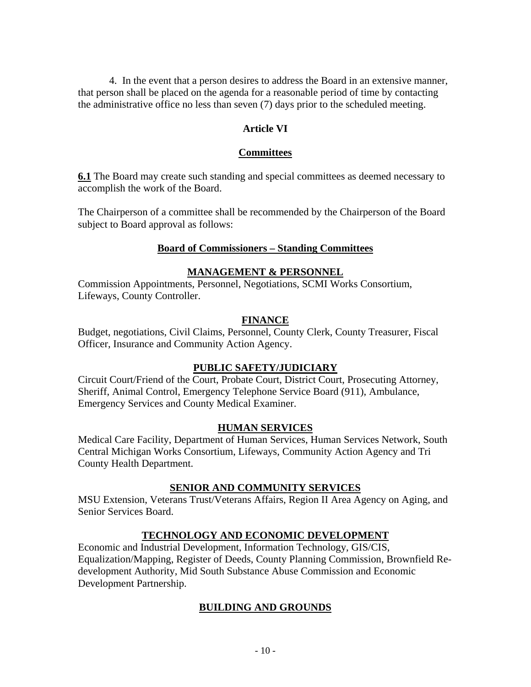4. In the event that a person desires to address the Board in an extensive manner, that person shall be placed on the agenda for a reasonable period of time by contacting the administrative office no less than seven (7) days prior to the scheduled meeting.

#### **Article VI**

#### **Committees**

**6.1** The Board may create such standing and special committees as deemed necessary to accomplish the work of the Board.

The Chairperson of a committee shall be recommended by the Chairperson of the Board subject to Board approval as follows:

#### **Board of Commissioners – Standing Committees**

#### **MANAGEMENT & PERSONNEL**

Commission Appointments, Personnel, Negotiations, SCMI Works Consortium, Lifeways, County Controller.

#### **FINANCE**

Budget, negotiations, Civil Claims, Personnel, County Clerk, County Treasurer, Fiscal Officer, Insurance and Community Action Agency.

#### **PUBLIC SAFETY/JUDICIARY**

Circuit Court/Friend of the Court, Probate Court, District Court, Prosecuting Attorney, Sheriff, Animal Control, Emergency Telephone Service Board (911), Ambulance, Emergency Services and County Medical Examiner.

#### **HUMAN SERVICES**

Medical Care Facility, Department of Human Services, Human Services Network, South Central Michigan Works Consortium, Lifeways, Community Action Agency and Tri County Health Department.

### **SENIOR AND COMMUNITY SERVICES**

MSU Extension, Veterans Trust/Veterans Affairs, Region II Area Agency on Aging, and Senior Services Board.

### **TECHNOLOGY AND ECONOMIC DEVELOPMENT**

Economic and Industrial Development, Information Technology, GIS/CIS, Equalization/Mapping, Register of Deeds, County Planning Commission, Brownfield Redevelopment Authority, Mid South Substance Abuse Commission and Economic Development Partnership.

### **BUILDING AND GROUNDS**